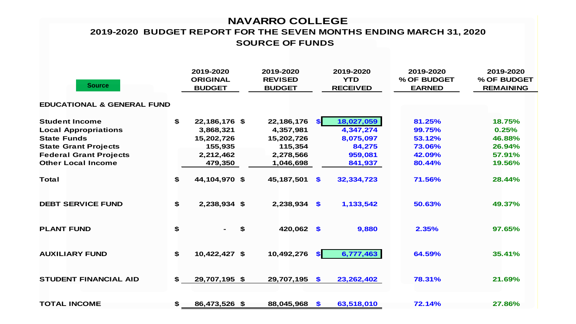# **NAVARRO COLLEGE**

### **SOURCE OF FUNDS 2019-2020 BUDGET REPORT FOR THE SEVEN MONTHS ENDING MARCH 31, 2020**

| <b>Source</b>                         | 2019-2020<br><b>ORIGINAL</b><br><b>BUDGET</b> | 2019-2020<br><b>REVISED</b><br><b>BUDGET</b> | 2019-2020<br><b>YTD</b><br><b>RECEIVED</b> | 2019-2020<br>% OF BUDGET<br><b>EARNED</b> | 2019-2020<br>% OF BUDGET<br><b>REMAINING</b> |
|---------------------------------------|-----------------------------------------------|----------------------------------------------|--------------------------------------------|-------------------------------------------|----------------------------------------------|
| <b>EDUCATIONAL &amp; GENERAL FUND</b> |                                               |                                              |                                            |                                           |                                              |
| <b>Student Income</b>                 | \$<br>22,186,176 \$                           | 22,186,176                                   | 18,027,059<br>SI.                          | 81.25%                                    | 18.75%                                       |
| <b>Local Appropriations</b>           | 3,868,321                                     | 4,357,981                                    | 4,347,274                                  | 99.75%                                    | 0.25%                                        |
| <b>State Funds</b>                    | 15,202,726                                    | 15,202,726                                   | 8,075,097                                  | 53.12%                                    | 46.88%                                       |
| <b>State Grant Projects</b>           | 155,935                                       | 115,354                                      | 84,275                                     | 73.06%                                    | 26.94%                                       |
| <b>Federal Grant Projects</b>         | 2,212,462                                     | 2,278,566                                    | 959,081                                    | 42.09%                                    | 57.91%                                       |
| <b>Other Local Income</b>             | 479,350                                       | 1,046,698                                    | 841,937                                    | 80.44%                                    | 19.56%                                       |
| <b>Total</b>                          | \$<br>44,104,970 \$                           | 45,187,501                                   | \$<br>32,334,723                           | 71.56%                                    | 28.44%                                       |
| <b>DEBT SERVICE FUND</b>              | \$<br>2,238,934 \$                            | $2,238,934$ \$                               | 1,133,542                                  | 50.63%                                    | 49.37%                                       |
| <b>PLANT FUND</b>                     | \$<br>\$<br>$\blacksquare$ .                  | 420,062 \$                                   | 9,880                                      | 2.35%                                     | 97.65%                                       |
| <b>AUXILIARY FUND</b>                 | \$<br>10,422,427 \$                           | 10,492,276                                   | 6,777,463<br><b>SI</b>                     | 64.59%                                    | 35.41%                                       |
| <b>STUDENT FINANCIAL AID</b>          | \$<br>29,707,195 \$                           | 29,707,195                                   | $\sqrt{2}$<br>23,262,402                   | 78.31%                                    | 21.69%                                       |
| <b>TOTAL INCOME</b>                   | \$<br>86,473,526 \$                           | 88,045,968 \$                                | 63,518,010                                 | 72.14%                                    | 27.86%                                       |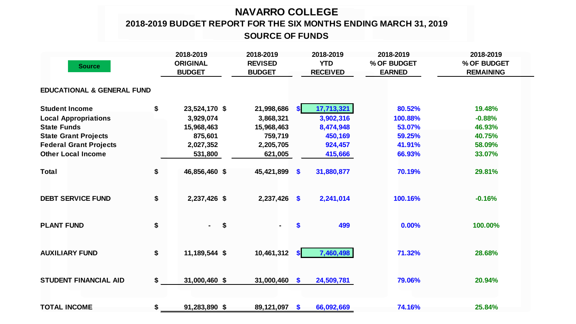# **NAVARRO COLLEGE**

**2018-2019 BUDGET REPORT FOR THE SIX MONTHS ENDING MARCH 31, 2019**

**SOURCE OF FUNDS**

| <b>Source</b>                         |    | 2018-2019<br><b>ORIGINAL</b><br><b>BUDGET</b> | 2018-2019<br><b>REVISED</b><br><b>BUDGET</b> |                           | 2018-2019<br><b>YTD</b><br><b>RECEIVED</b> | 2018-2019<br>% OF BUDGET<br><b>EARNED</b> | 2018-2019<br>% OF BUDGET<br><b>REMAINING</b> |
|---------------------------------------|----|-----------------------------------------------|----------------------------------------------|---------------------------|--------------------------------------------|-------------------------------------------|----------------------------------------------|
| <b>EDUCATIONAL &amp; GENERAL FUND</b> |    |                                               |                                              |                           |                                            |                                           |                                              |
| <b>Student Income</b>                 | \$ | 23,524,170 \$                                 | 21,998,686                                   | <b>SI</b>                 | 17,713,321                                 | 80.52%                                    | 19.48%                                       |
| <b>Local Appropriations</b>           |    | 3,929,074                                     | 3,868,321                                    |                           | 3,902,316                                  | 100.88%                                   | $-0.88%$                                     |
| <b>State Funds</b>                    |    | 15,968,463                                    | 15,968,463                                   |                           | 8,474,948                                  | 53.07%                                    | 46.93%                                       |
| <b>State Grant Projects</b>           |    | 875,601                                       | 759,719                                      |                           | 450,169                                    | 59.25%                                    | 40.75%                                       |
| <b>Federal Grant Projects</b>         |    | 2,027,352                                     | 2,205,705                                    |                           | 924,457                                    | 41.91%                                    | 58.09%                                       |
| <b>Other Local Income</b>             |    | 531,800                                       | 621,005                                      |                           | 415,666                                    | 66.93%                                    | 33.07%                                       |
| <b>Total</b>                          | \$ | 46,856,460 \$                                 | 45,421,899                                   | $\mathbf{\$}$             | 31,880,877                                 | 70.19%                                    | 29.81%                                       |
| <b>DEBT SERVICE FUND</b>              | \$ | 2,237,426 \$                                  | $2,237,426$ \$                               |                           | 2,241,014                                  | 100.16%                                   | $-0.16%$                                     |
| <b>PLANT FUND</b>                     | \$ | \$<br>$\sim$                                  | ۰.                                           | \$                        | 499                                        | 0.00%                                     | 100.00%                                      |
| <b>AUXILIARY FUND</b>                 | \$ | 11,189,544 \$                                 | 10,461,312                                   | <b>SI</b>                 | 7,460,498                                  | 71.32%                                    | 28.68%                                       |
| <b>STUDENT FINANCIAL AID</b>          | \$ | 31,000,460 \$                                 | 31,000,460                                   | $\mathbf{\$}$             | 24,509,781                                 | 79.06%                                    | 20.94%                                       |
| <b>TOTAL INCOME</b>                   | \$ | 91,283,890 \$                                 | 89,121,097                                   | $\boldsymbol{\mathsf{s}}$ | 66,092,669                                 | 74.16%                                    | 25.84%                                       |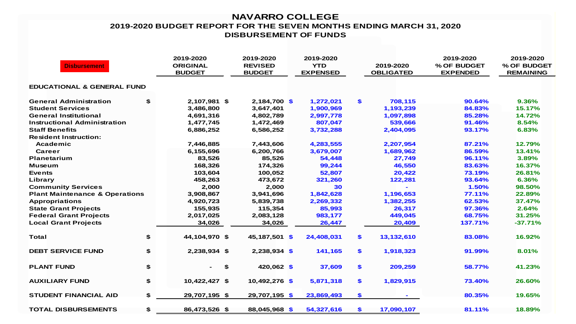#### **NAVARRO COLLEGE 2019-2020 BUDGET REPORT FOR THE SEVEN MONTHS ENDING MARCH 31, 2020 DISBURSEMENT OF FUNDS**

| <b>Disbursement</b>                       |    | 2019-2020<br><b>ORIGINAL</b><br><b>BUDGET</b> | 2019-2020<br><b>REVISED</b><br><b>BUDGET</b> | 2019-2020<br><b>YTD</b><br><b>EXPENSED</b> | 2019-2020<br><b>OBLIGATED</b> | 2019-2020<br>% OF BUDGET<br><b>EXPENDED</b> | 2019-2020<br>% OF BUDGET<br><b>REMAINING</b> |
|-------------------------------------------|----|-----------------------------------------------|----------------------------------------------|--------------------------------------------|-------------------------------|---------------------------------------------|----------------------------------------------|
| <b>EDUCATIONAL &amp; GENERAL FUND</b>     |    |                                               |                                              |                                            |                               |                                             |                                              |
| <b>General Administration</b>             | \$ | 2,107,981 \$                                  | $2,184,700$ \$                               | 1,272,021                                  | \$<br>708,115                 | 90.64%                                      | 9.36%                                        |
| <b>Student Services</b>                   |    | 3,486,800                                     | 3,647,401                                    | 1,900,969                                  | 1,193,239                     | 84.83%                                      | 15.17%                                       |
| <b>General Institutional</b>              |    | 4,691,316                                     | 4,802,789                                    | 2,997,778                                  | 1,097,898                     | 85.28%                                      | 14.72%                                       |
| Instructional Administration              |    | 1,477,745                                     | 1,472,469                                    | 807,047                                    | 539,666                       | 91.46%                                      | 8.54%                                        |
| <b>Staff Benefits</b>                     |    | 6,886,252                                     | 6,586,252                                    | 3,732,288                                  | 2,404,095                     | 93.17%                                      | 6.83%                                        |
| <b>Resident Instruction:</b>              |    |                                               |                                              |                                            |                               |                                             |                                              |
| Academic                                  |    | 7,446,885                                     | 7,443,606                                    | 4,283,555                                  | 2,207,954                     | 87.21%                                      | 12.79%                                       |
| <b>Career</b>                             |    | 6,155,696                                     | 6,200,766                                    | 3,679,007                                  | 1,689,962                     | 86.59%                                      | 13.41%                                       |
| <b>Planetarium</b>                        |    | 83,526                                        | 85,526                                       | 54,448                                     | 27,749                        | 96.11%                                      | 3.89%                                        |
| <b>Museum</b>                             |    | 168,326                                       | 174,326                                      | 99,244                                     | 46,550                        | 83.63%                                      | 16.37%                                       |
| <b>Events</b>                             |    | 103,604                                       | 100,052                                      | 52,807                                     | 20,422                        | 73.19%                                      | 26.81%                                       |
| Library                                   |    | 458,263                                       | 473,672                                      | 321,260                                    | 122,281                       | 93.64%                                      | 6.36%                                        |
| <b>Community Services</b>                 |    | 2,000                                         | 2,000                                        | 30                                         |                               | 1.50%                                       | 98.50%                                       |
| <b>Plant Maintenance &amp; Operations</b> |    | 3,908,867                                     | 3,941,696                                    | 1,842,628                                  | 1,196,653                     | 77.11%                                      | 22.89%                                       |
| <b>Appropriations</b>                     |    | 4,920,723                                     | 5,839,738                                    | 2,269,332                                  | 1,382,255                     | 62.53%                                      | 37.47%                                       |
| <b>State Grant Projects</b>               |    | 155,935                                       | 115,354                                      | 85,993                                     | 26,317                        | 97.36%                                      | 2.64%                                        |
| <b>Federal Grant Projects</b>             |    | 2,017,025                                     | 2,083,128                                    | 983,177                                    | 449,045                       | 68.75%                                      | 31.25%                                       |
| <b>Local Grant Projects</b>               |    | 34,026                                        | 34,026                                       | 26,447                                     | 20,409                        | 137.71%                                     | $-37.71%$                                    |
| <b>Total</b>                              | \$ | 44,104,970 \$                                 | 45,187,501 \$                                | 24,408,031                                 | \$<br>13,132,610              | 83.08%                                      | 16.92%                                       |
| <b>DEBT SERVICE FUND</b>                  | \$ | 2,238,934 \$                                  | $2,238,934$ \$                               | 141,165                                    | \$<br>1,918,323               | 91.99%                                      | 8.01%                                        |
| <b>PLANT FUND</b>                         | \$ | \$<br>۰.                                      | 420,062 \$                                   | 37,609                                     | \$<br>209,259                 | 58.77%                                      | 41.23%                                       |
| <b>AUXILIARY FUND</b>                     | \$ | 10,422,427 \$                                 | 10,492,276 \$                                | 5,871,318                                  | \$<br>1,829,915               | 73.40%                                      | 26.60%                                       |
| <b>STUDENT FINANCIAL AID</b>              | \$ | 29,707,195 \$                                 | 29,707,195 \$                                | 23,869,493                                 | \$                            | 80.35%                                      | 19.65%                                       |
| <b>TOTAL DISBURSEMENTS</b>                | \$ | 86,473,526 \$                                 | 88,045,968 \$                                | 54,327,616                                 | \$<br>17,090,107              | 81.11%                                      | 18.89%                                       |